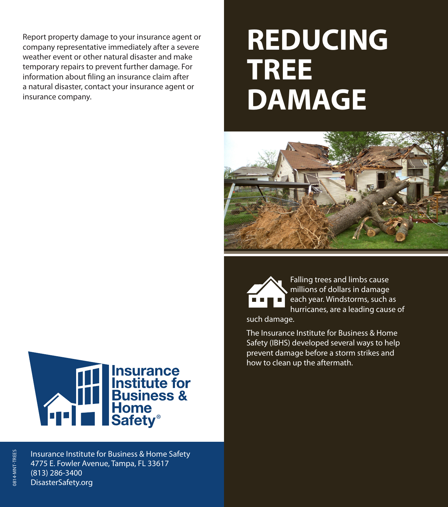Report property damage to your insurance agent or company representative immediately after a severe weather event or other natural disaster and make temporary repairs to prevent further damage. For information about filing an insurance claim after a natural disaster, contact your insurance agent or insurance company.

## **REDUCING TREE DAMAGE**



Falling trees and limbs cause millions of dollars in damage each year. Windstorms, such as hurricanes, are a leading cause of

such damage.

The Insurance Institute for Business & Home Safety (IBHS) developed several ways to help prevent damage before a storm strikes and how to clean up the aftermath.



Insurance Institute for Business & Home Safety 4775 E. Fowler Avenue, Tampa, FL 33617 (813) 286-3400 DisasterSafety.org